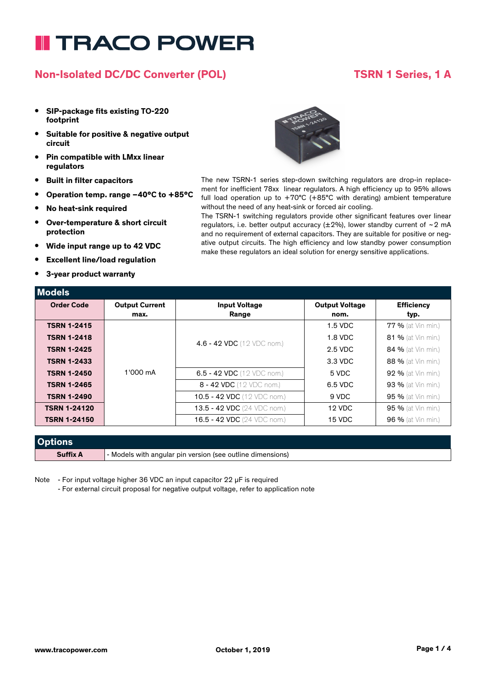### **Non-Isolated DC/DC Converter (POL) TSRN 1 Series, 1 A**

- **• SIP-package fits existing TO-220 footprint**
- **• Suitable for positive & negative output circuit**
- **• Pin compatible with LMxx linear regulators**
- **• Built in filter capacitors**
- **• Operation temp. range –40°C to +85°C**
- **• No heat-sink required**
- **• Over-temperature & short circuit protection**
- **• Wide input range up to 42 VDC**
- **• Excellent line/load regulation**
- **• 3-year product warranty**

**Models**



The new TSRN-1 series step-down switching regulators are drop-in replacement for inefficient 78xx linear regulators. A high efficiency up to 95% allows full load operation up to  $+70^{\circ}$ C ( $+85^{\circ}$ C with derating) ambient temperature without the need of any heat-sink or forced air cooling.

The TSRN-1 switching regulators provide other significant features over linear regulators, i.e. better output accuracy ( $\pm 2\%$ ), lower standby current of ~2 mA and no requirement of external capacitors. They are suitable for positive or negative output circuits. The high efficiency and low standby power consumption make these regulators an ideal solution for energy sensitive applications.

| <b>IVIUUEIS</b>     |                       |                                    |                       |                           |
|---------------------|-----------------------|------------------------------------|-----------------------|---------------------------|
| <b>Order Code</b>   | <b>Output Current</b> | <b>Input Voltage</b>               | <b>Output Voltage</b> | <b>Efficiency</b>         |
|                     | max.                  | Range                              | nom.                  | typ.                      |
| <b>TSRN 1-2415</b>  |                       |                                    | $1.5$ VDC             | <b>77 %</b> (at Vin min.) |
| <b>TSRN 1-2418</b>  |                       | 4.6 - 42 VDC (12 VDC nom.)         | 1.8 VDC               | <b>81 %</b> (at Vin min.) |
| <b>TSRN 1-2425</b>  |                       |                                    | 2.5 VDC               | 84 % (at Vin min.)        |
| <b>TSRN 1-2433</b>  |                       |                                    | 3.3 VDC               | 88 % (at Vin min.)        |
| <b>TSRN 1-2450</b>  | 1'000 mA              | 6.5 - 42 VDC (12 VDC nom.)         | 5 VDC                 | <b>92 %</b> (at Vin min.) |
| <b>TSRN 1-2465</b>  |                       | 8 - 42 VDC (12 VDC nom.)           | 6.5 VDC               | 93 % (at Vin min.)        |
| <b>TSRN 1-2490</b>  |                       | 10.5 - 42 VDC (12 VDC nom.)        | 9 VDC                 | <b>95 %</b> (at Vin min.) |
| <b>TSRN 1-24120</b> |                       | <b>13.5 - 42 VDC</b> (24 VDC nom.) | 12 VDC                | 95 % (at Vin min.)        |
| <b>TSRN 1-24150</b> |                       | 16.5 - 42 VDC (24 VDC nom.)        | 15 VDC                | 96 % (at Vin min.)        |

| <b>Options</b>  |                                                            |
|-----------------|------------------------------------------------------------|
| <b>Suffix A</b> | - Models with angular pin version (see outline dimensions) |

Note - For input voltage higher 36 VDC an input capacitor 22 µF is required

- For external circuit proposal for negative output voltage, refer to application note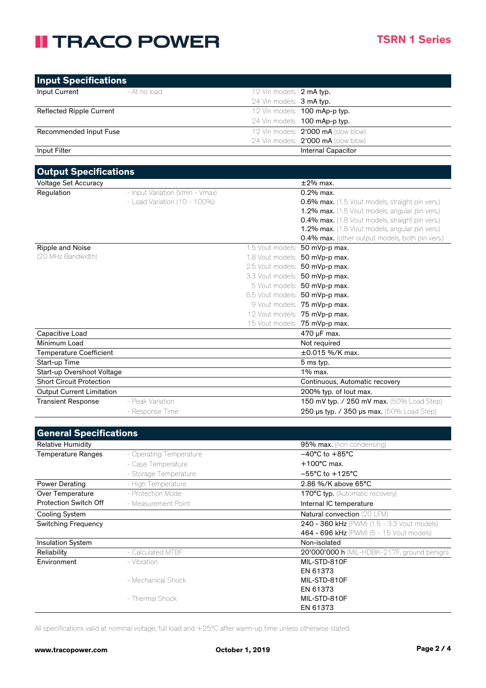| <b>Input Specifications</b> |              |                                     |
|-----------------------------|--------------|-------------------------------------|
| Input Current               | - At no load | 12 Vin models: 2 mA typ.            |
|                             |              | 24 Vin models: 3 mA typ.            |
| Reflected Ripple Current    |              | 12 Vin models: 100 mAp-p typ.       |
|                             |              | 24 Vin models: 100 mAp-p typ.       |
| Recommended Input Fuse      |              | 12 Vin models: 2'000 mA (slow blow) |
|                             |              | 24 Vin models: 2'000 mA (slow blow) |
| Input Filter                |              | <b>Internal Capacitor</b>           |

| <b>Output Specifications</b>     |                                 |                                |                                                     |  |
|----------------------------------|---------------------------------|--------------------------------|-----------------------------------------------------|--|
| <b>Voltage Set Accuracy</b>      |                                 |                                | $\pm 2\%$ max.                                      |  |
| Regulation                       | - Input Variation (Vmin - Vmax) |                                | $0.2\%$ max.                                        |  |
|                                  | - Load Variation (10 - 100%)    |                                | 0.6% max. (1.5 Vout models, straight pin vers.)     |  |
|                                  |                                 |                                | 1.2% max. (1.5 Vout models, angular pin vers.)      |  |
|                                  |                                 |                                | 0.4% max. (1.8 Vout models, straight pin vers.)     |  |
|                                  |                                 |                                | 1.2% max. (1.8 Vout models, angular pin vers.)      |  |
|                                  |                                 |                                | 0.4% max. (other output models, both pin vers.)     |  |
| Ripple and Noise                 |                                 |                                | 1.5 Vout models: 50 mVp-p max.                      |  |
| (20 MHz Bandwidth)               |                                 |                                | 1.8 Vout models: 50 mVp-p max.                      |  |
|                                  |                                 |                                | 2.5 Vout models: 50 mVp-p max.                      |  |
|                                  |                                 |                                | 3.3 Vout models: 50 mVp-p max.                      |  |
|                                  |                                 |                                | 5 Vout models: 50 mVp-p max.                        |  |
|                                  |                                 |                                | 6.5 Vout models: 50 mVp-p max.                      |  |
|                                  |                                 |                                | 9 Vout models: 75 mVp-p max.                        |  |
|                                  |                                 |                                | 12 Vout models: 75 mVp-p max.                       |  |
|                                  |                                 |                                | 15 Vout models: 75 mVp-p max.                       |  |
| Capacitive Load                  |                                 |                                | 470 µF max.                                         |  |
| Minimum Load                     |                                 |                                | Not required                                        |  |
| <b>Temperature Coefficient</b>   |                                 |                                | $\pm 0.015$ %/K max.                                |  |
| Start-up Time                    |                                 | 5 ms typ.                      |                                                     |  |
| Start-up Overshoot Voltage       |                                 | $1\%$ max.                     |                                                     |  |
| <b>Short Circuit Protection</b>  |                                 | Continuous, Automatic recovery |                                                     |  |
| <b>Output Current Limitation</b> |                                 | 200% typ. of lout max.         |                                                     |  |
| <b>Transient Response</b>        | - Peak Variation                |                                | 150 mV typ. / 250 mV max. (50% Load Step)           |  |
|                                  | - Response Time                 |                                | 250 $\mu$ s typ. / 350 $\mu$ s max. (50% Load Step) |  |

| <b>General Specifications</b> |                         |                                                    |
|-------------------------------|-------------------------|----------------------------------------------------|
| <b>Relative Humidity</b>      |                         | 95% max. (non condensing)                          |
| Temperature Ranges            | - Operating Temperature | $-40^{\circ}$ C to $+85^{\circ}$ C                 |
|                               | - Case Temperature      | $+100^{\circ}$ C max.                              |
|                               | - Storage Temperature   | $-55^{\circ}$ C to $+125^{\circ}$ C                |
| Power Derating                | - High Temperature      | 2.86 %/K above 65°C                                |
| Over Temperature              | - Protection Mode       | <b>170°C typ.</b> (Automatic recovery)             |
| <b>Protection Switch Off</b>  | - Measurement Point     | Internal IC temperature                            |
| Cooling System                |                         | <b>Natural convection (20 LFM)</b>                 |
| <b>Switching Frequency</b>    |                         | <b>240 - 360 kHz</b> (PWM) (1.5 - 3.3 Vout models) |
|                               |                         | 464 - 696 kHz (PWM) (5 - 15 Vout models)           |
| <b>Insulation System</b>      |                         | Non-isolated                                       |
| Reliability                   | - Calculated MTBF       | 20'000'000 h (MIL-HDBK-217F, ground benign)        |
| Environment                   | - Vibration             | MIL-STD-810F                                       |
|                               |                         | EN 61373                                           |
|                               | - Mechanical Shock      | MIL-STD-810F                                       |
|                               |                         | EN 61373                                           |
|                               | - Thermal Shock         | MIL-STD-810F                                       |
|                               |                         | EN 61373                                           |

All specifications valid at nominal voltage, full load and +25°C after warm-up time unless otherwise stated.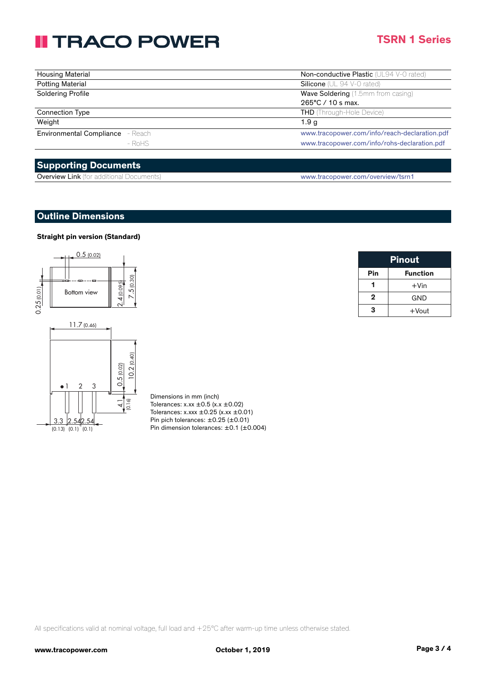### **TSRN 1 Series**

| <b>Housing Material</b>                 | Non-conductive Plastic (UL94 V-0 rated)       |
|-----------------------------------------|-----------------------------------------------|
| <b>Potting Material</b>                 | <b>Silicone</b> ( $UL$ 94 $V$ -0 rated)       |
| Soldering Profile                       | <b>Wave Soldering</b> (1.5mm from casing)     |
|                                         | 265°C / 10 s max.                             |
| <b>Connection Type</b>                  | <b>THD</b> (Through-Hole Device)              |
| Weight                                  | 1.9 <sub>g</sub>                              |
| <b>Environmental Compliance</b> - Reach | www.tracopower.com/info/reach-declaration.pdf |
| $-$ RoHS                                | www.tracopower.com/info/rohs-declaration.pdf  |

### **Supporting Documents**

| <b>Overview Link</b> (for additional Documents) | www.tracopower.com/overview/tsrn1 |
|-------------------------------------------------|-----------------------------------|
|-------------------------------------------------|-----------------------------------|

#### **Outline Dimensions**

#### **Straight pin version (Standard)**



Dimensions in mm (inch) Tolerances:  $x.xx \pm 0.5$  ( $x.x \pm 0.02$ ) Tolerances: x.xxx  $\pm$  0.25 (x.xx  $\pm$  0.01) Pin pich tolerances:  $\pm 0.25$  ( $\pm 0.01$ ) Pin dimension tolerances:  $\pm$ 0.1 ( $\pm$ 0.004)

| <b>Pinout</b> |                 |
|---------------|-----------------|
| Pin           | <b>Function</b> |
|               | $+V$ in         |
| 2             | GND             |
| з             | $+$ Vout        |

All specifications valid at nominal voltage, full load and +25°C after warm-up time unless otherwise stated.